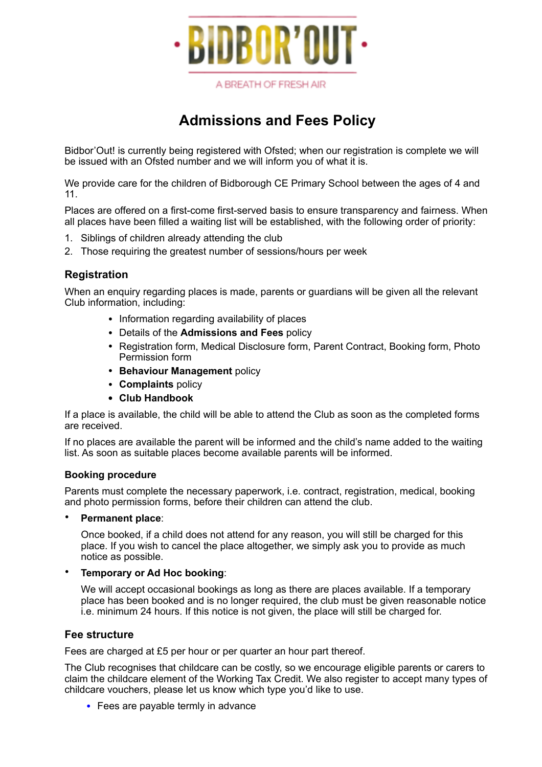

A BREATH OF FRESH AIR

# **Admissions and Fees Policy**

Bidbor'Out! is currently being registered with Ofsted; when our registration is complete we will be issued with an Ofsted number and we will inform you of what it is.

We provide care for the children of Bidborough CE Primary School between the ages of 4 and 11.

Places are offered on a first-come first-served basis to ensure transparency and fairness. When all places have been filled a waiting list will be established, with the following order of priority:

- 1. Siblings of children already attending the club
- 2. Those requiring the greatest number of sessions/hours per week

## **Registration**

When an enquiry regarding places is made, parents or guardians will be given all the relevant Club information, including:

- Information regarding availability of places
- Details of the **Admissions and Fees** policy
- Registration form, Medical Disclosure form, Parent Contract, Booking form, Photo Permission form
- **Behaviour Management** policy
- **Complaints** policy
- **• Club Handbook**

If a place is available, the child will be able to attend the Club as soon as the completed forms are received.

If no places are available the parent will be informed and the child's name added to the waiting list. As soon as suitable places become available parents will be informed.

#### **Booking procedure**

Parents must complete the necessary paperwork, i.e. contract, registration, medical, booking and photo permission forms, before their children can attend the club.

#### • **Permanent place**:

Once booked, if a child does not attend for any reason, you will still be charged for this place. If you wish to cancel the place altogether, we simply ask you to provide as much notice as possible.

#### • **Temporary or Ad Hoc booking**:

We will accept occasional bookings as long as there are places available. If a temporary place has been booked and is no longer required, the club must be given reasonable notice i.e. minimum 24 hours. If this notice is not given, the place will still be charged for.

### **Fee structure**

Fees are charged at £5 per hour or per quarter an hour part thereof.

The Club recognises that childcare can be costly, so we encourage eligible parents or carers to claim the childcare element of the Working Tax Credit. We also register to accept many types of childcare vouchers, please let us know which type you'd like to use.

• Fees are payable termly in advance